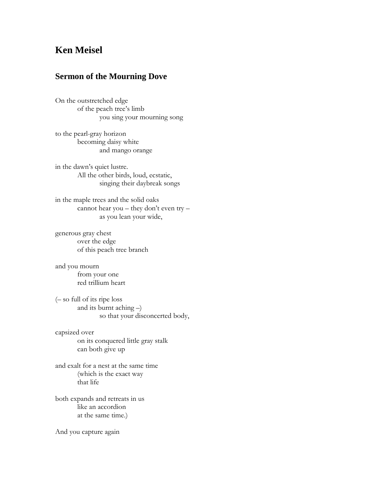## **Ken Meisel**

## **Sermon of the Mourning Dove**

On the outstretched edge of the peach tree's limb you sing your mourning song

to the pearl-gray horizon becoming daisy white and mango orange

in the dawn's quiet lustre. All the other birds, loud, ecstatic, singing their daybreak songs

in the maple trees and the solid oaks cannot hear you – they don't even try – as you lean your wide,

generous gray chest over the edge of this peach tree branch

and you mourn from your one red trillium heart

(– so full of its ripe loss and its burnt aching –) so that your disconcerted body,

capsized over on its conquered little gray stalk can both give up

and exalt for a nest at the same time (which is the exact way that life

both expands and retreats in us like an accordion at the same time.)

And you capture again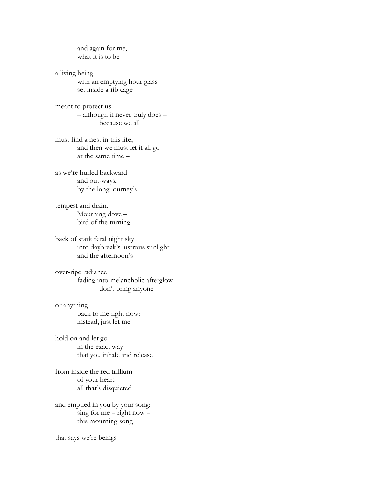and again for me, what it is to be

a living being with an emptying hour glass set inside a rib cage

meant to protect us – although it never truly does – because we all

must find a nest in this life, and then we must let it all go at the same time –

as we're hurled backward and out-ways, by the long journey's

tempest and drain. Mourning dove – bird of the turning

back of stark feral night sky into daybreak's lustrous sunlight and the afternoon's

over-ripe radiance fading into melancholic afterglow – don't bring anyone

or anything back to me right now: instead, just let me

hold on and let go – in the exact way that you inhale and release

from inside the red trillium of your heart all that's disquieted

and emptied in you by your song:  $sing for me - right now$ this mourning song

that says we're beings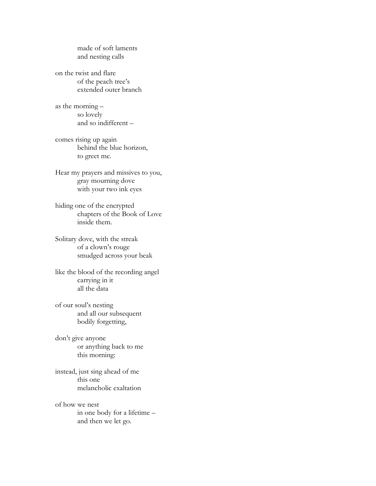made of soft laments and nesting calls

on the twist and flare of the peach tree's extended outer branch

as the morning – so lovely and so indifferent –

comes rising up again behind the blue horizon, to greet me.

Hear my prayers and missives to you, gray mourning dove with your two ink eyes

hiding one of the encrypted chapters of the Book of Love inside them.

Solitary dove, with the streak of a clown's rouge smudged across your beak

like the blood of the recording angel carrying in it all the data

of our soul's nesting and all our subsequent bodily forgetting,

don't give anyone or anything back to me this morning:

instead, just sing ahead of me this one melancholic exaltation

of how we nest in one body for a lifetime – and then we let go.